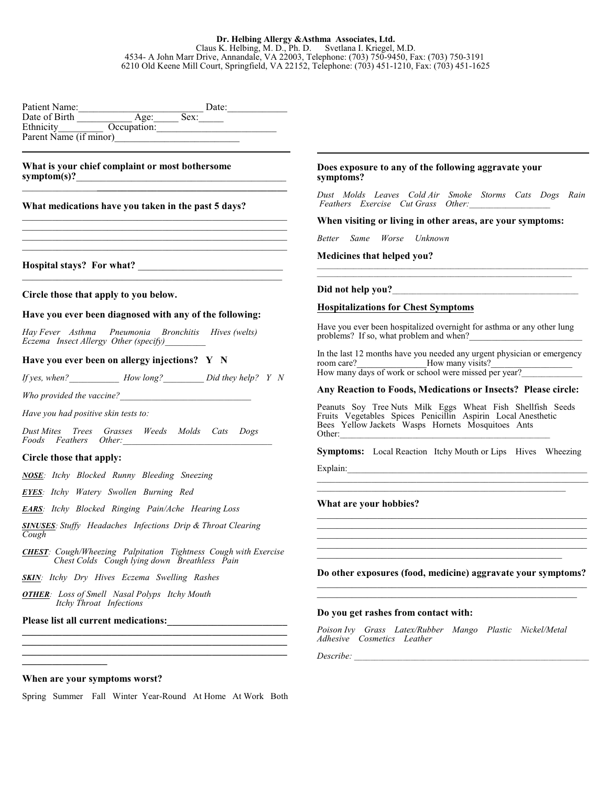# **Dr. Helbing Allergy &Asthma Associates, Ltd.**

Claus K. Helbing, M. D., Ph. D. Svetlana I. Kriegel, M.D. 4534- A John Marr Drive, Annandale, VA 22003, Telephone: (703) 750-9450, Fax: (703) 750-3191 6210 Old Keene Mill Court, Springfield, VA 22152, Telephone: (703) 451-1210, Fax: (703) 451-1625

| Patient Name:          |             |      | Date: |  |
|------------------------|-------------|------|-------|--|
| Date of Birth          | Age:        | Sex: |       |  |
| Ethnicity              | Occupation: |      |       |  |
| Parent Name (if minor) |             |      |       |  |

 $\_$  ,  $\_$  ,  $\_$  ,  $\_$  ,  $\_$  ,  $\_$  ,  $\_$  ,  $\_$  ,  $\_$  ,  $\_$  ,  $\_$  ,  $\_$  ,  $\_$  ,  $\_$  ,  $\_$  ,  $\_$  ,  $\_$  ,  $\_$  $\_$  , and the set of the set of the set of the set of the set of the set of the set of the set of the set of the set of the set of the set of the set of the set of the set of the set of the set of the set of the set of th  $\mathcal{L}_\text{max}$  and  $\mathcal{L}_\text{max}$  and  $\mathcal{L}_\text{max}$  and  $\mathcal{L}_\text{max}$  and  $\mathcal{L}_\text{max}$  $\mathcal{L}_\text{max}$  , and the set of the set of the set of the set of the set of the set of the set of the set of the set of the set of the set of the set of the set of the set of the set of the set of the set of the set of the

 $\_$  , and the set of the set of the set of the set of the set of the set of the set of the set of the set of the set of the set of the set of the set of the set of the set of the set of the set of the set of the set of th

#### **What is your chief complaint or most bothersome** symptom(s)? \_\_\_\_\_\_\_\_\_\_\_\_\_\_\_**\_\_\_\_\_\_\_\_\_\_\_\_\_\_\_\_\_\_\_\_\_\_\_\_\_\_\_\_\_\_\_\_\_\_\_\_\_\_**

#### **What medications have you taken in the past 5 days?**

**Hospital stays? For what?** \_\_\_\_\_\_\_\_\_\_\_\_\_\_\_\_\_\_\_\_\_\_\_\_\_\_\_\_\_

#### **Circle those that apply to you below.**

#### **Have you ever been diagnosed with any of the following:**

*Hay Fever Asthma Pneumonia Bronchitis Hives (welts) Eczema Insect Allergy Other (specify)*\_\_\_\_\_\_\_\_\_

# **Have you ever been on allergy injections? Y N**

*If yes, when?\_\_\_\_\_\_\_\_\_\_\_ How long?\_\_\_\_\_\_\_\_\_ Did they help? Y N*

*Who provided the vaccine?* 

*Have you had positive skin tests to:*

*Dust Mites Trees Grasses Weeds Molds Cats Dogs Foods Feathers Other:\_\_\_\_\_\_\_\_\_\_\_\_\_\_\_\_\_\_\_\_\_\_\_\_\_\_\_\_\_\_\_\_\_*

#### **Circle those that apply:**

*NOSE: Itchy Blocked Runny Bleeding Sneezing*

*EYES: Itchy Watery Swollen Burning Red*

*EARS: Itchy Blocked Ringing Pain/Ache Hearing Loss*

*SINUSES: Stuffy Headaches Infections Drip & Throat Clearing Cough*

*CHEST: Cough/Wheezing Palpitation Tightness Cough with Exercise Chest Colds Cough lying down Breathless Pain*

*SKIN: Itchy Dry Hives Eczema Swelling Rashes*

*OTHER: Loss of Smell Nasal Polyps Itchy Mouth Itchy Throat Infections* 

Please list all current medications:

#### **Does exposure to any of the following aggravate your symptoms?**

*Dust Molds Leaves Cold Air Smoke Storms Cats Dogs Rain Feathers Exercise Cut Grass Other:*\_\_\_\_\_\_\_\_\_\_\_\_\_\_\_\_\_\_\_\_

\_\_\_\_\_\_\_\_\_\_\_\_\_\_\_\_\_\_\_\_\_\_\_\_\_\_\_\_\_\_\_\_\_\_\_\_\_\_\_\_\_\_\_\_\_\_\_\_\_\_\_\_\_\_\_\_\_\_\_\_\_\_\_\_\_\_\_

**When visiting or living in other areas, are your symptoms:**

*Better Same Worse Unknown*

**Medicines that helped you?**

# Did not help you?

# **Hospitalizations for Chest Symptoms**

Have you ever been hospitalized overnight for asthma or any other lung problems? If so, what problem and when?

In the last 12 months have you needed any urgent physician or emergency room care? How many visits? How many days of work or school were missed per year?\_\_\_\_\_\_\_\_\_\_\_\_\_\_\_\_\_\_\_\_\_\_\_\_\_\_\_

#### **Any Reaction to Foods, Medications or Insects? Please circle:**

Peanuts Soy Tree Nuts Milk Eggs Wheat Fish Shellfish Seeds Fruits Vegetables Spices Penicillin Aspirin Local Anesthetic Bees Yellow Jackets Wasps Hornets Mosquitoes Ants Other:\_\_\_\_\_\_\_\_\_\_\_\_\_\_\_\_\_\_\_\_\_\_\_\_\_\_\_\_\_\_\_\_\_\_\_\_\_\_\_\_\_\_\_\_\_\_\_\_\_\_\_\_

**Symptoms:** Local Reaction Itchy Mouth or Lips Hives Wheezing  $\text{Explain:}\quad$ 

 $\mathcal{L}_\text{max} = \mathcal{L}_\text{max} = \mathcal{L}_\text{max} = \mathcal{L}_\text{max} = \mathcal{L}_\text{max} = \mathcal{L}_\text{max} = \mathcal{L}_\text{max} = \mathcal{L}_\text{max} = \mathcal{L}_\text{max} = \mathcal{L}_\text{max} = \mathcal{L}_\text{max} = \mathcal{L}_\text{max} = \mathcal{L}_\text{max} = \mathcal{L}_\text{max} = \mathcal{L}_\text{max} = \mathcal{L}_\text{max} = \mathcal{L}_\text{max} = \mathcal{L}_\text{max} = \mathcal{$ 

 $\mathcal{L}=\mathcal{L}=\mathcal{L}=\mathcal{L}=\mathcal{L}=\mathcal{L}=\mathcal{L}=\mathcal{L}=\mathcal{L}=\mathcal{L}=\mathcal{L}=\mathcal{L}=\mathcal{L}=\mathcal{L}=\mathcal{L}=\mathcal{L}=\mathcal{L}=\mathcal{L}=\mathcal{L}=\mathcal{L}=\mathcal{L}=\mathcal{L}=\mathcal{L}=\mathcal{L}=\mathcal{L}=\mathcal{L}=\mathcal{L}=\mathcal{L}=\mathcal{L}=\mathcal{L}=\mathcal{L}=\mathcal{L}=\mathcal{L}=\mathcal{L}=\mathcal{L}=\mathcal{L}=\mathcal{$ 

#### **What are your hobbies?**

**Do other exposures (food, medicine) aggravate your symptoms?**  $\_$  , and the set of the set of the set of the set of the set of the set of the set of the set of the set of the set of the set of the set of the set of the set of the set of the set of the set of the set of the set of th

 $\mathcal{L}_\mathcal{L}$  , and the set of the set of the set of the set of the set of the set of the set of the set of the set of the set of the set of the set of the set of the set of the set of the set of the set of the set of th

 $\_$  , and the set of the set of the set of the set of the set of the set of the set of the set of the set of the set of the set of the set of the set of the set of the set of the set of the set of the set of the set of th  $\mathcal{L}_\mathcal{L}$  , and the set of the set of the set of the set of the set of the set of the set of the set of the set of the set of the set of the set of the set of the set of the set of the set of the set of the set of th  $\mathcal{L}_\text{max}$  , and the contribution of the contribution of  $\mathcal{L}_\text{max}$  $\_$  , and the set of the set of the set of the set of the set of the set of the set of the set of the set of the set of the set of the set of the set of the set of the set of the set of the set of the set of the set of th \_\_\_\_\_\_\_\_\_\_\_\_\_\_\_\_\_\_\_\_\_\_\_\_\_\_\_\_\_\_\_\_\_\_\_\_\_\_\_\_\_\_\_\_\_\_\_\_\_

#### **Do you get rashes from contact with:**

*Poison Ivy Grass Latex/Rubber Mango Plastic Nickel/Metal Adhesive Cosmetics Leather* 

*Describe:* \_\_\_\_\_\_\_\_\_\_\_\_\_\_\_\_\_\_\_\_\_\_\_\_\_\_\_\_\_\_\_\_\_\_\_\_\_\_\_\_\_\_\_\_\_\_\_\_\_\_\_\_\_\_\_\_\_\_

#### **When are your symptoms worst?**

**\_\_\_\_\_\_\_\_\_\_\_\_\_\_\_\_\_**

Spring Summer Fall Winter Year-Round At Home At Work Both

**\_\_\_\_\_\_\_\_\_\_\_\_\_\_\_\_\_\_\_\_\_\_\_\_\_\_\_\_\_\_\_\_\_\_\_\_\_\_\_\_\_\_\_\_\_\_\_\_\_\_\_\_\_ \_\_\_\_\_\_\_\_\_\_\_\_\_\_\_\_\_\_\_\_\_\_\_\_\_\_\_\_\_\_\_\_\_\_\_\_\_\_\_\_\_\_\_\_\_\_\_\_\_\_\_\_\_ \_\_\_\_\_\_\_\_\_\_\_\_\_\_\_\_\_\_\_\_\_\_\_\_\_\_\_\_\_\_\_\_\_\_\_\_\_\_\_\_\_\_\_\_\_\_\_\_\_\_\_\_\_**